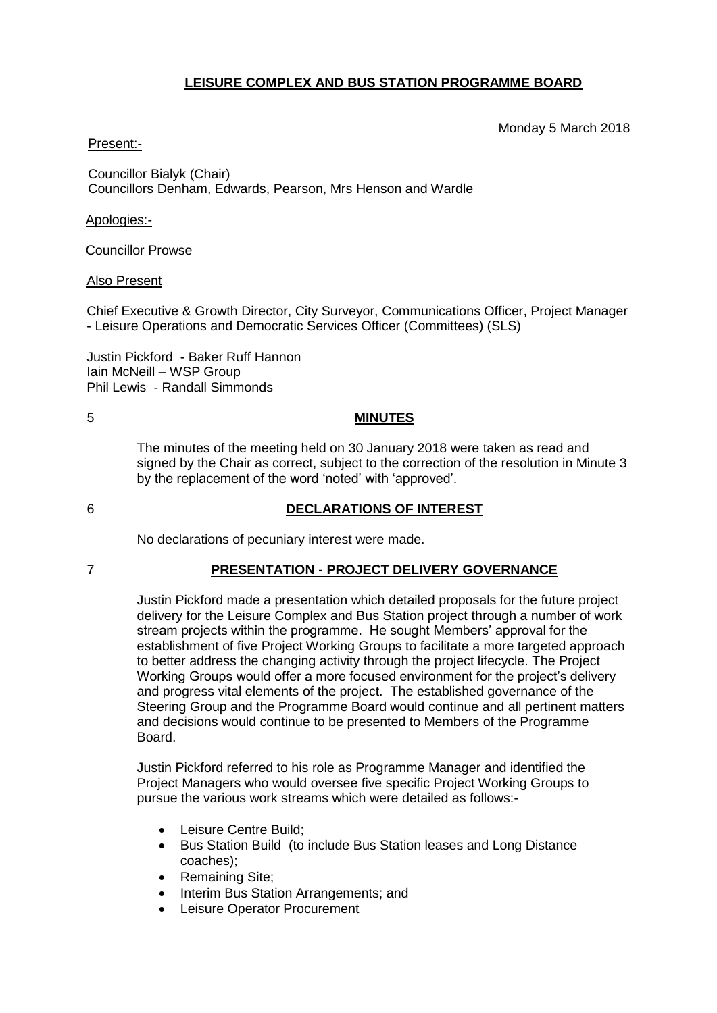## **LEISURE COMPLEX AND BUS STATION PROGRAMME BOARD**

#### Monday 5 March 2018

## Present:-

Councillor Bialyk (Chair) Councillors Denham, Edwards, Pearson, Mrs Henson and Wardle

#### Apologies:-

Councillor Prowse

## Also Present

Chief Executive & Growth Director, City Surveyor, Communications Officer, Project Manager - Leisure Operations and Democratic Services Officer (Committees) (SLS)

Justin Pickford - Baker Ruff Hannon Iain McNeill – WSP Group Phil Lewis - Randall Simmonds

## 5 **MINUTES**

The minutes of the meeting held on 30 January 2018 were taken as read and signed by the Chair as correct, subject to the correction of the resolution in Minute 3 by the replacement of the word 'noted' with 'approved'.

# 6 **DECLARATIONS OF INTEREST**

No declarations of pecuniary interest were made.

#### 7 **PRESENTATION - PROJECT DELIVERY GOVERNANCE**

Justin Pickford made a presentation which detailed proposals for the future project delivery for the Leisure Complex and Bus Station project through a number of work stream projects within the programme. He sought Members' approval for the establishment of five Project Working Groups to facilitate a more targeted approach to better address the changing activity through the project lifecycle. The Project Working Groups would offer a more focused environment for the project's delivery and progress vital elements of the project. The established governance of the Steering Group and the Programme Board would continue and all pertinent matters and decisions would continue to be presented to Members of the Programme **Board** 

Justin Pickford referred to his role as Programme Manager and identified the Project Managers who would oversee five specific Project Working Groups to pursue the various work streams which were detailed as follows:-

- Leisure Centre Build;
- Bus Station Build (to include Bus Station leases and Long Distance coaches);
- Remaining Site:
- Interim Bus Station Arrangements; and
- Leisure Operator Procurement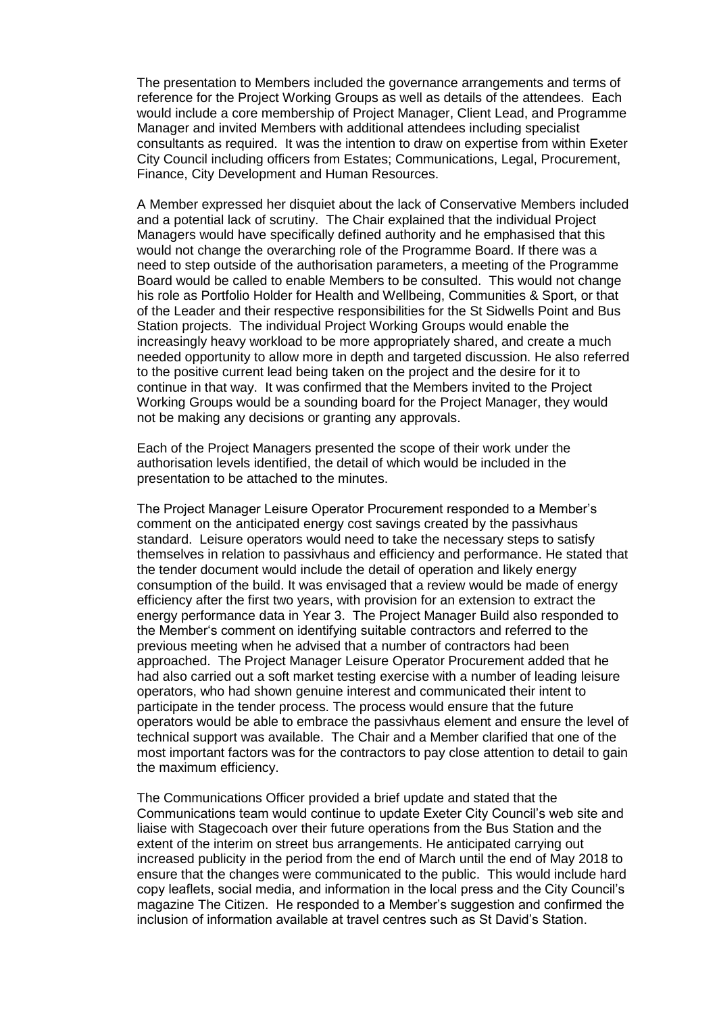The presentation to Members included the governance arrangements and terms of reference for the Project Working Groups as well as details of the attendees. Each would include a core membership of Project Manager, Client Lead, and Programme Manager and invited Members with additional attendees including specialist consultants as required. It was the intention to draw on expertise from within Exeter City Council including officers from Estates; Communications, Legal, Procurement, Finance, City Development and Human Resources.

A Member expressed her disquiet about the lack of Conservative Members included and a potential lack of scrutiny. The Chair explained that the individual Project Managers would have specifically defined authority and he emphasised that this would not change the overarching role of the Programme Board. If there was a need to step outside of the authorisation parameters, a meeting of the Programme Board would be called to enable Members to be consulted. This would not change his role as Portfolio Holder for Health and Wellbeing, Communities & Sport, or that of the Leader and their respective responsibilities for the St Sidwells Point and Bus Station projects. The individual Project Working Groups would enable the increasingly heavy workload to be more appropriately shared, and create a much needed opportunity to allow more in depth and targeted discussion. He also referred to the positive current lead being taken on the project and the desire for it to continue in that way. It was confirmed that the Members invited to the Project Working Groups would be a sounding board for the Project Manager, they would not be making any decisions or granting any approvals.

Each of the Project Managers presented the scope of their work under the authorisation levels identified, the detail of which would be included in the presentation to be attached to the minutes.

The Project Manager Leisure Operator Procurement responded to a Member's comment on the anticipated energy cost savings created by the passivhaus standard. Leisure operators would need to take the necessary steps to satisfy themselves in relation to passivhaus and efficiency and performance. He stated that the tender document would include the detail of operation and likely energy consumption of the build. It was envisaged that a review would be made of energy efficiency after the first two years, with provision for an extension to extract the energy performance data in Year 3. The Project Manager Build also responded to the Member's comment on identifying suitable contractors and referred to the previous meeting when he advised that a number of contractors had been approached. The Project Manager Leisure Operator Procurement added that he had also carried out a soft market testing exercise with a number of leading leisure operators, who had shown genuine interest and communicated their intent to participate in the tender process. The process would ensure that the future operators would be able to embrace the passivhaus element and ensure the level of technical support was available. The Chair and a Member clarified that one of the most important factors was for the contractors to pay close attention to detail to gain the maximum efficiency.

The Communications Officer provided a brief update and stated that the Communications team would continue to update Exeter City Council's web site and liaise with Stagecoach over their future operations from the Bus Station and the extent of the interim on street bus arrangements. He anticipated carrying out increased publicity in the period from the end of March until the end of May 2018 to ensure that the changes were communicated to the public. This would include hard copy leaflets, social media, and information in the local press and the City Council's magazine The Citizen. He responded to a Member's suggestion and confirmed the inclusion of information available at travel centres such as St David's Station.